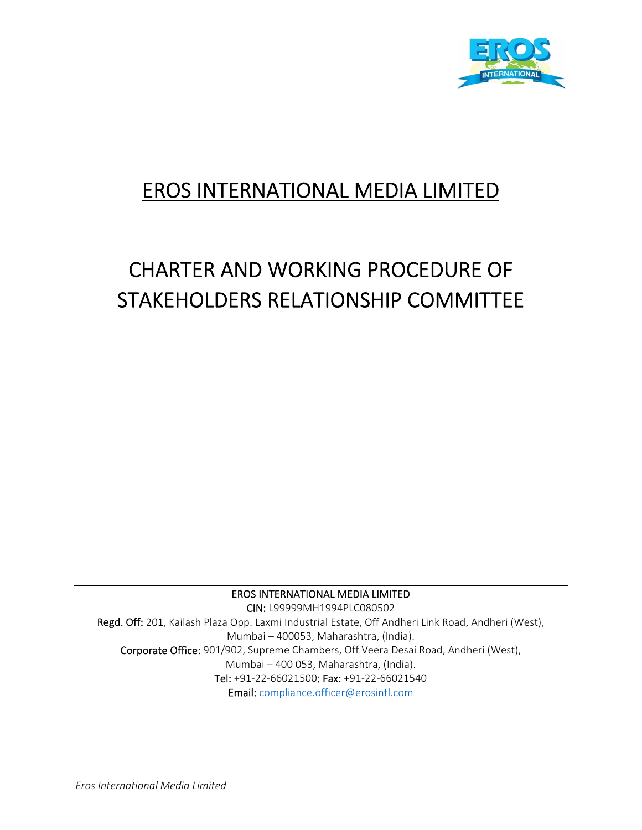

# EROS INTERNATIONAL MEDIA LIMITED

# CHARTER AND WORKING PROCEDURE OF STAKEHOLDERS RELATIONSHIP COMMITTEE

EROS INTERNATIONAL MEDIA LIMITED CIN: L99999MH1994PLC080502 Regd. Off: 201, Kailash Plaza Opp. Laxmi Industrial Estate, Off Andheri Link Road, Andheri (West), Mumbai – 400053, Maharashtra, (India). Corporate Office: 901/902, Supreme Chambers, Off Veera Desai Road, Andheri (West), Mumbai – 400 053, Maharashtra, (India). Tel: +91‐22‐66021500; Fax: +91‐22‐66021540 Email: compliance.officer@erosintl.com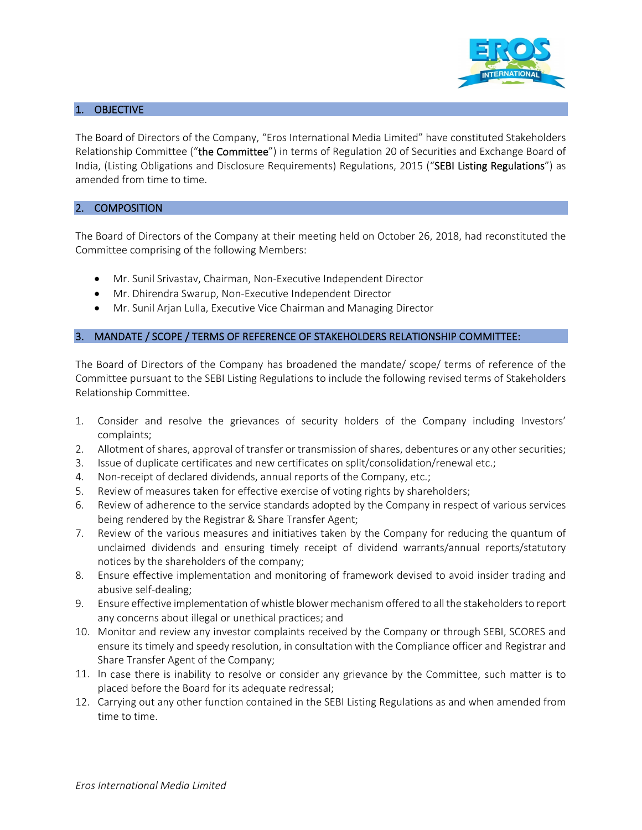

# 1. OBJECTIVE

The Board of Directors of the Company, "Eros International Media Limited" have constituted Stakeholders Relationship Committee ("the Committee") in terms of Regulation 20 of Securities and Exchange Board of India, (Listing Obligations and Disclosure Requirements) Regulations, 2015 ("SEBI Listing Regulations") as amended from time to time.

## 2. COMPOSITION

The Board of Directors of the Company at their meeting held on October 26, 2018, had reconstituted the Committee comprising of the following Members:

- Mr. Sunil Srivastav, Chairman, Non-Executive Independent Director
- Mr. Dhirendra Swarup, Non-Executive Independent Director
- Mr. Sunil Arjan Lulla, Executive Vice Chairman and Managing Director

## 3. MANDATE / SCOPE / TERMS OF REFERENCE OF STAKEHOLDERS RELATIONSHIP COMMITTEE:

The Board of Directors of the Company has broadened the mandate/ scope/ terms of reference of the Committee pursuant to the SEBI Listing Regulations to include the following revised terms of Stakeholders Relationship Committee.

- 1. Consider and resolve the grievances of security holders of the Company including Investors' complaints;
- 2. Allotment of shares, approval of transfer or transmission of shares, debentures or any other securities;
- 3. Issue of duplicate certificates and new certificates on split/consolidation/renewal etc.;
- 4. Non-receipt of declared dividends, annual reports of the Company, etc.;
- 5. Review of measures taken for effective exercise of voting rights by shareholders;
- 6. Review of adherence to the service standards adopted by the Company in respect of various services being rendered by the Registrar & Share Transfer Agent;
- 7. Review of the various measures and initiatives taken by the Company for reducing the quantum of unclaimed dividends and ensuring timely receipt of dividend warrants/annual reports/statutory notices by the shareholders of the company;
- 8. Ensure effective implementation and monitoring of framework devised to avoid insider trading and abusive self‐dealing;
- 9. Ensure effective implementation ofwhistle blower mechanism offered to all the stakeholdersto report any concerns about illegal or unethical practices; and
- 10. Monitor and review any investor complaints received by the Company or through SEBI, SCORES and ensure its timely and speedy resolution, in consultation with the Compliance officer and Registrar and Share Transfer Agent of the Company;
- 11. In case there is inability to resolve or consider any grievance by the Committee, such matter is to placed before the Board for its adequate redressal;
- 12. Carrying out any other function contained in the SEBI Listing Regulations as and when amended from time to time.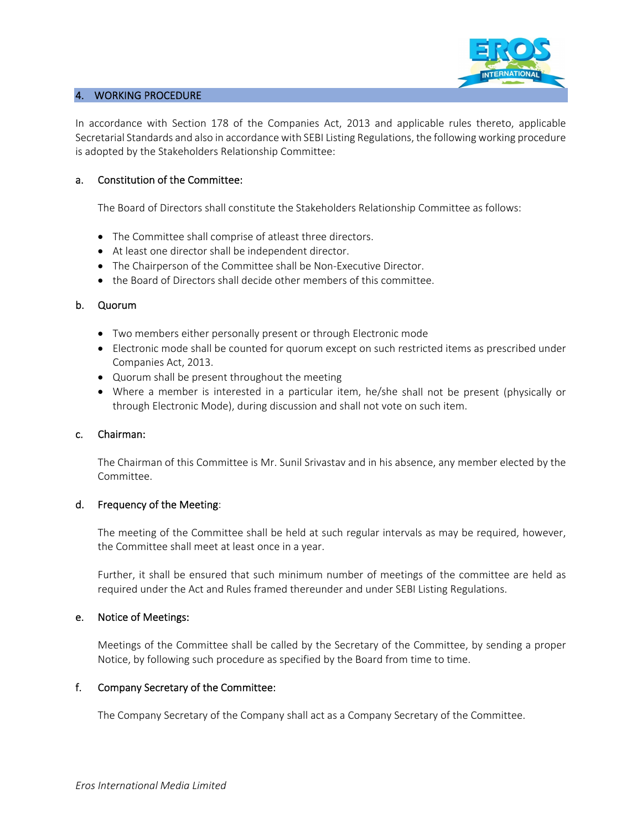

#### 4. WORKING PROCEDURE

In accordance with Section 178 of the Companies Act, 2013 and applicable rules thereto, applicable Secretarial Standards and also in accordance with SEBI Listing Regulations, the following working procedure is adopted by the Stakeholders Relationship Committee:

#### a. Constitution of the Committee:

The Board of Directors shall constitute the Stakeholders Relationship Committee as follows:

- The Committee shall comprise of atleast three directors.
- At least one director shall be independent director.
- The Chairperson of the Committee shall be Non-Executive Director.
- the Board of Directors shall decide other members of this committee.

#### b. Quorum

- Two members either personally present or through Electronic mode
- Electronic mode shall be counted for quorum except on such restricted items as prescribed under Companies Act, 2013.
- Quorum shall be present throughout the meeting
- Where a member is interested in a particular item, he/she shall not be present (physically or through Electronic Mode), during discussion and shall not vote on such item.

#### c. Chairman:

The Chairman of this Committee is Mr. Sunil Srivastav and in his absence, any member elected by the Committee.

#### d. Frequency of the Meeting:

The meeting of the Committee shall be held at such regular intervals as may be required, however, the Committee shall meet at least once in a year.

Further, it shall be ensured that such minimum number of meetings of the committee are held as required under the Act and Rules framed thereunder and under SEBI Listing Regulations.

#### e. Notice of Meetings:

Meetings of the Committee shall be called by the Secretary of the Committee, by sending a proper Notice, by following such procedure as specified by the Board from time to time.

#### f. Company Secretary of the Committee:

The Company Secretary of the Company shall act as a Company Secretary of the Committee.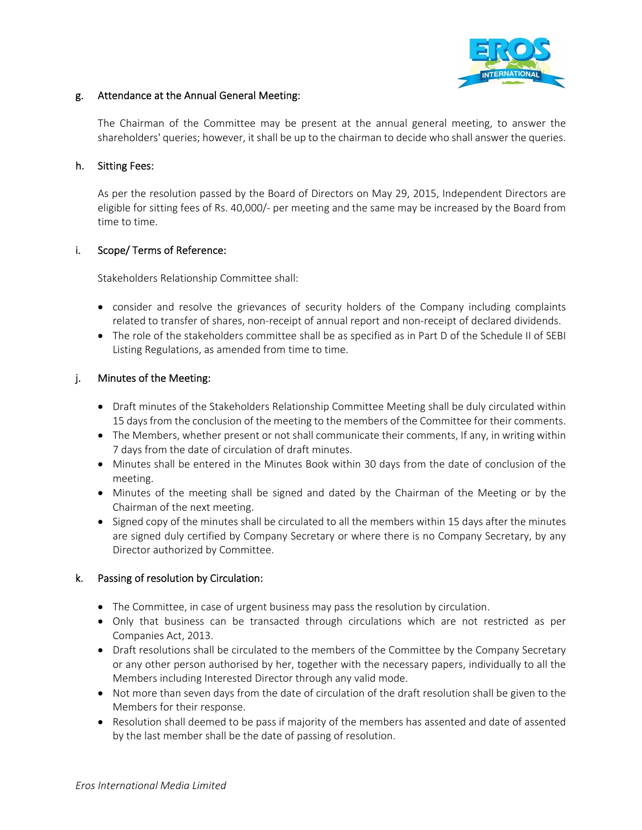

# g. Attendance at the Annual General Meeting:

The Chairman of the Committee may be present at the annual general meeting, to answer the shareholders' queries; however, it shall be up to the chairman to decide who shall answer the queries.

# h. Sitting Fees:

As per the resolution passed by the Board of Directors on May 29, 2015, Independent Directors are eligible for sitting fees of Rs. 40,000/‐ per meeting and the same may be increased by the Board from time to time.

# i. Scope/ Terms of Reference:

Stakeholders Relationship Committee shall:

- consider and resolve the grievances of security holders of the Company including complaints related to transfer of shares, non-receipt of annual report and non-receipt of declared dividends.
- The role of the stakeholders committee shall be as specified as in Part D of the Schedule II of SEBI Listing Regulations, as amended from time to time.

# j. Minutes of the Meeting:

- Draft minutes of the Stakeholders Relationship Committee Meeting shall be duly circulated within 15 days from the conclusion of the meeting to the members of the Committee for their comments.
- The Members, whether present or not shall communicate their comments, If any, in writing within 7 days from the date of circulation of draft minutes.
- Minutes shall be entered in the Minutes Book within 30 days from the date of conclusion of the meeting.
- Minutes of the meeting shall be signed and dated by the Chairman of the Meeting or by the Chairman of the next meeting.
- Signed copy of the minutes shall be circulated to all the members within 15 days after the minutes are signed duly certified by Company Secretary or where there is no Company Secretary, by any Director authorized by Committee.

# k. Passing of resolution by Circulation:

- The Committee, in case of urgent business may pass the resolution by circulation.
- Only that business can be transacted through circulations which are not restricted as per Companies Act, 2013.
- Draft resolutions shall be circulated to the members of the Committee by the Company Secretary or any other person authorised by her, together with the necessary papers, individually to all the Members including Interested Director through any valid mode.
- Not more than seven days from the date of circulation of the draft resolution shall be given to the Members for their response.
- Resolution shall deemed to be pass if majority of the members has assented and date of assented by the last member shall be the date of passing of resolution.